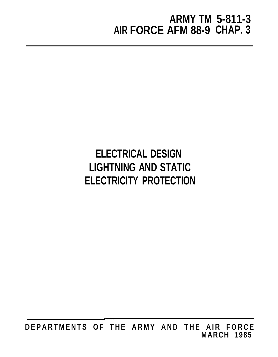## **ARMY TM 5-811-3 AIR FORCE AFM 88-9 CHAP. 3**

# **ELECTRICAL DESIGN LIGHTNING AND STATIC ELECTRICITY PROTECTION**

**DEPARTMENTS OF THE ARMY AND THE AIR FORCE MARCH 1985**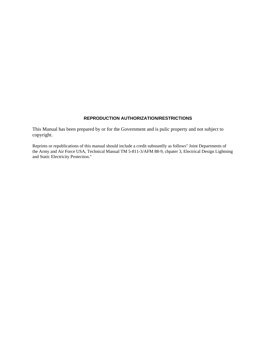#### **REPRODUCTION AUTHORIZATION/RESTRICTIONS**

This Manual has been prepared by or for the Government and is pulic property and not subject to copyright.

Reprints or republications of this manual should include a credit substantlly as follows" Joint Departments of the Army and Air Force USA, Technical Manual TM 5-811-3/AFM 88-9, chpater 3, Electrical Design Lightning and Static Electricity Protection."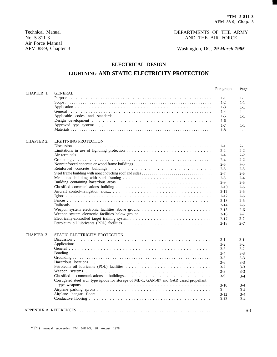DEPARTMENTS OF THE ARMY AND THE AIR FORCE

Washington, DC, *29 March 1985*

## **ELECTRICAL DESIGN**

### **LIGHTNING AND STATIC ELECTRICITY PROTECTION**

| CHAPTER 1.<br><b>GENERAL</b>                                                           | $1 - 1$                                                                                                                                                                                                                                | $1 - 1$ |
|----------------------------------------------------------------------------------------|----------------------------------------------------------------------------------------------------------------------------------------------------------------------------------------------------------------------------------------|---------|
|                                                                                        |                                                                                                                                                                                                                                        |         |
|                                                                                        |                                                                                                                                                                                                                                        |         |
|                                                                                        | $1 - 2$                                                                                                                                                                                                                                | $1-1$   |
|                                                                                        | $1 - 3$                                                                                                                                                                                                                                | $1 - 1$ |
|                                                                                        | $1 - 4$                                                                                                                                                                                                                                | $1-1$   |
|                                                                                        | $1 - 5$                                                                                                                                                                                                                                | $1 - 1$ |
|                                                                                        | $1-6$                                                                                                                                                                                                                                  | $1-1$   |
|                                                                                        | $1 - 7$                                                                                                                                                                                                                                | $1 - 1$ |
|                                                                                        | $1 - 8$                                                                                                                                                                                                                                | $1 - 1$ |
| <b>CHAPTER 2.</b><br>LIGHTNING PROTECTION                                              |                                                                                                                                                                                                                                        |         |
|                                                                                        | $2 - 1$                                                                                                                                                                                                                                | $2 - 1$ |
|                                                                                        | $2 - 2$                                                                                                                                                                                                                                | $2 - 2$ |
|                                                                                        | $2 - 4$                                                                                                                                                                                                                                | $2 - 2$ |
|                                                                                        | $2 - 4$                                                                                                                                                                                                                                | $2 - 2$ |
|                                                                                        | $2 - 5$                                                                                                                                                                                                                                | $2 - 5$ |
|                                                                                        | $2 - 6$                                                                                                                                                                                                                                | $2 - 5$ |
|                                                                                        | $2 - 7$                                                                                                                                                                                                                                | $2 - 6$ |
|                                                                                        |                                                                                                                                                                                                                                        |         |
|                                                                                        | $2 - 8$                                                                                                                                                                                                                                | $2 - 4$ |
|                                                                                        | $2-9$                                                                                                                                                                                                                                  | $2 - 6$ |
|                                                                                        | $2 - 10$                                                                                                                                                                                                                               | $2 - 6$ |
|                                                                                        | $2 - 11$                                                                                                                                                                                                                               | $2 - 6$ |
|                                                                                        | $2 - 12$                                                                                                                                                                                                                               | $2 - 6$ |
|                                                                                        | $2 - 13$                                                                                                                                                                                                                               | $2 - 6$ |
|                                                                                        | $2 - 14$                                                                                                                                                                                                                               | $2 - 6$ |
|                                                                                        | $2 - 15$                                                                                                                                                                                                                               | $2 - 6$ |
|                                                                                        | $2 - 16$                                                                                                                                                                                                                               | $2 - 7$ |
|                                                                                        | $2 - 17$                                                                                                                                                                                                                               | $2 - 7$ |
|                                                                                        | $2 - 18$                                                                                                                                                                                                                               | $2 - 7$ |
| CHAPTER 3.<br>STATIC ELECTRICITY PROTECTION                                            |                                                                                                                                                                                                                                        |         |
|                                                                                        | $2 - 1$                                                                                                                                                                                                                                | $3-1$   |
|                                                                                        | $3-2$                                                                                                                                                                                                                                  | $3 - 2$ |
|                                                                                        | $3 - 3$                                                                                                                                                                                                                                | $3-2$   |
|                                                                                        | 3-4                                                                                                                                                                                                                                    | $3 - 3$ |
|                                                                                        | $3 - 5$                                                                                                                                                                                                                                | $3 - 3$ |
|                                                                                        | $3-6$                                                                                                                                                                                                                                  | $3 - 3$ |
|                                                                                        | $3 - 7$                                                                                                                                                                                                                                | $3 - 3$ |
|                                                                                        |                                                                                                                                                                                                                                        |         |
|                                                                                        | $3 - 8$                                                                                                                                                                                                                                | $3 - 3$ |
| Classified<br>communications buildings                                                 | $3-9$<br>the company of the company of the company of the company of the company of the company of the company of the company of the company of the company of the company of the company of the company of the company of the company | $3-4$   |
| Corrugated steel arch type igloos for storage of MB-1, GAM-87 and GAR cased propellant |                                                                                                                                                                                                                                        |         |
|                                                                                        | $3-10$                                                                                                                                                                                                                                 | $3-4$   |
|                                                                                        | $3-11$                                                                                                                                                                                                                                 | $3 - 4$ |
|                                                                                        | $3 - 12$                                                                                                                                                                                                                               | $3-4$   |
|                                                                                        | $3 - 13$                                                                                                                                                                                                                               | $3 - 4$ |
|                                                                                        |                                                                                                                                                                                                                                        | A-1     |

<sup>\*</sup>This manual supersedes TM 5-811-3, 28 August 1978.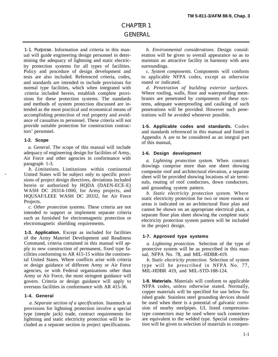## CHAPTER 1 **GENERAL**

1-1. Purpose. Information and criteria in this manual will guide engineering design personnel in determining the adequacy of lightning and static electricity protection systems for all types of facilities. Policy and procedure of design development and tests are also included. Referenced criteria, codes, and standards are intended to include provisions for normal type facilities, which when integrated with criteria included herein, establish complete provisions for these protection systems. The standards and methods of system protection discussed are intended as the most practical and economical means of accomplishing protection of real property and avoidance of casualties to personnel. These criteria will not provide suitable protection for construction contractors' personnel.

#### **1-2. Scope**

*a. General.* The scope of this manual will include adequacy of engineering design for facilities of Army, Air Force and other agencies in conformance with paragraph 1-3.

*b. Limitations.* Limitations within continental United States will be subject only to specific provisions of project design directives, deviations included herein or authorized by HQDA (DAEN-ECE-E) WASH DC 20314-1000, for Army projects, and HQUSAF/LEEE WASH DC 20332, for Air Force Projects.

*c. Other protection systems.* These criteria are not intended to support or implement separate criteria such as furnished for electromagnetic protection or electromagnetic shielding requirements.

**1-3. Application.** Except as included for facilities of the Army Materiel Development and Readiness Command, criteria contained in this manual will apply to new construction of permanent, fixed type facilities conforming to AR 415-15 within the continental United States. Where conflicts arise with criteria or design guidance of different Army or Air Force agencies, or with Federal organizations other than Army or Air Force, the most stringent guidance will govern. Criteria or design guidance will apply to overseas facilities in conformance with AR 415-36.

#### **1-4. General**

*a. Separate section of a specification.* Inasmuch as provisions for lightning protection involve a special type (steeple jack) trade, contract requirements for lightning and static electricity protection will be included as a separate section in project specifications.

*b. Environmental considerations.* Design consideration will be given to overall appearance so as to maintain an attractive facility in harmony with area surroundings.

*c. System components.* Components will conform to applicable NFPA codes, except as otherwise stated or indicated.

*d. Penetration of building exterior surfaces.* Where roofing, walls, floor and waterproofing membranes are penetrated by components of these systems, adequate waterproofing and caulking of such penetrations will be provided. However such penetrations will be avoided whenever possible.

**1-5. Applicable codes and standards.** Codes and standards referenced in this manual and listed in Appendix A are to be considered as an integral part of this manual,

#### **1-6. Design development**

*a. Lightning protection system.* When contract drawings comprise more than one sheet showing composite roof and architectural elevation, a separate sheet will be provided showing locations of air terminals, routing of roof conductors, down conductors, and grounding system pattern.

*b. Static electricity protection system.* Where static electricity protection for two or more rooms or areas is indicated on an architectural floor plan and cannot be shown on an appropriate electrical plan, a separate floor plan sheet showing the complete static electricity protection system pattern will be included in the project design.

#### **1-7. Approved type systems**

*a. Lightning protection.* Selection of the type of protective system will be as prescribed in this manual, NFPA No. 78, and MIL–HDBR-419.

*b. Static electricity protection.* Selection of system type will be prescribed in NFPA No. 77, MIL-HDBR 419, and MIL-STD-188-124.

**1-8. Materials.** Materials will conform to applicable NFPA codes, unless otherwise stated. Normally, copper materials will be specified for use below finished grade. Stainless steel grounding devices should be used when there is a potential of galvanic corrosion of nearby steelpipes. UL listed compressiontype connectors may be used where such connectors are equivalent to the welded type. Special consideration will be given to selection of materials to compen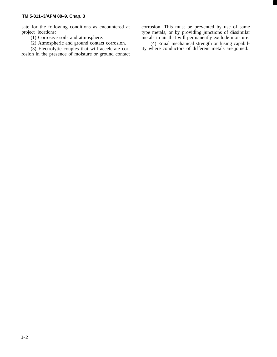sate for the following conditions as encountered at corrosion. This must be prevented by use of same project locations:<br>type metals, or by providing junctions of dissimilar

rosion in the presence of moisture or ground contact

ect locations:<br>
(1) Corrosive soils and atmosphere.<br>
(1) Corrosive soils and atmosphere.<br>
(1) Corrosive soils and atmosphere.<br>
(1) Corrosive soils and atmosphere. (1) Corrosive soils and atmosphere.<br>
(2) Atmospheric and ground contact corrosion.<br>
(4) Equal mechanical strength or fusing canabil-

(2) Atmospheric and ground contact corrosion. (4) Equal mechanical strength or fusing capabil-<br>(3) Electrolytic couples that will accelerate cor-<br>ity where conductors of different metals are joined. ity where conductors of different metals are joined.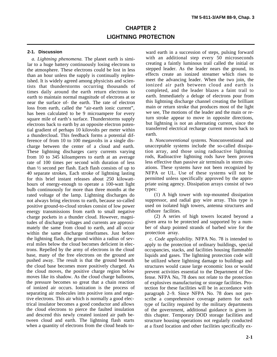## **CHAPTER 2 LIGHTNING PROTECTION**

#### **2-1. Discussion**

*a. Lightning phenomena.* The planet earth is similar to a huge battery continuously losing electrons to the atmosphere. These electrons could be lost in less than an hour unless the supply is continually replenished. It is widely agreed among physicists and scientists that thunderstorms occurring thousands of times daily around the earth return electrons to earth to maintain normal magnitude of electrons at or near the surface of- the earth. The rate of electron loss from earth, called the "air-earth ionic current", has been calculated to be 9 microampere for every square mile of earth's surface. Thunderstorms supply electrons back to earth by an opposite electron potential gradient of perhaps 10 kilovolts per meter within a thundercloud. This feedback forms a potential difference of from 10 to 100 megavolts in a single discharge between the center of a cloud and earth. These lightning discharges carry currents varying from 10 to 345 kiloamperes to earth at an average rate of 100 times per second with duration of less than ½ second per flash. Each flash consists of up to 40 separate strokes, Each stroke of lightning lasting for this brief instant releases about 250 kilowatthours of energy-enough to operate a 100-watt light bulb continuously for more than three months at the rated voltage of the lamp. Lightning discharges do not always bring electrons to earth, because so-called positive ground-to-cloud strokes consist of low power energy transmissions from earth to small negative charge pockets in a thunder cloud. However, magnitudes of discharge voltages and currents are approximately the same from cloud to earth, and all occur within the same discharge timeframes. Just before the lightning flash, the ground within a radius of several miles below the cloud becomes deficient in electrons. Repelled by the army of electrons in the cloud base, many of the free electrons on the ground are pushed away. The result is that the ground beneath the cloud base becomes more positively charged. As the cloud moves, the positive charge region below moves like its shadow. As the cloud charge balloons, the pressure becomes so great that a chain reaction of ionized air occurs. Ionization is the process of separating air molecules into positive ions and negative electrons. This air which is normally a good electrical insulator becomes a good conductor and allows the cloud electrons to pierce the faulted insulation and descend this newly created ionized air path between cloud and earth. The lightning flash starts when a quantity of electrons from the cloud heads to-

ward earth in a succession of steps, pulsing forward with an additional step every 50 microseconds creating a faintly luminous trail called the initial or stepped leader. As the leader nears the ground, its effects create an ionized streamer which rises to meet the advancing leader. When the two join, the ionized air path between cloud and earth is completed, and the leader blazes a faint trail to earth. Immediately a deluge of electrons pour from this lightning discharge channel creating the brilliant main or return stroke that produces most of the light we see, The motions of the leader and the main or return stroke appear to move in opposite directions, but lightning is not an alternating current, since the transferred electrical recharge current moves back to earth.

*b. Nonconventional systems.* Nonconventional and unacceptable systems include the so-called dissipation array, and those using radioactive lightning rods, Radioactive lightning rods have been proven less effective than passive air terminals in storm situations. These systems have not been recognized by NFPA or UL. Use of these systems will not be permitted unless specifically approved by the appropriate using agency. Dissipation arrays consist of two types:

(1) A high tower with top-mounted dissipation suppressor, and radial guy wire array. This type is used on isolated high towers, antenna structures and offshore facilities.

(2) A series of high towers located beyond a given area to be protected and supported by a number of sharp pointed strands of barbed wire for the protection array.

*c. Code applicability.* NFPA No. 78 is intended to apply to the protection of ordinary buildings, special occupancies, stacks, and facilities housing flammable liquids and gases. The lightning protection code will be utilized where lightning damage to buildings and structures would cause large economic loss or would prevent activities essential to the Department of Defense. NFPA No, 78 does not relate to the protection of explosives manufacturing or storage facilities. Protection for these facilities will be in accordance with paragraph 2–9. Since NFPA No. 78 does not prescribe a comprehensive coverage pattern for each type of facility required by the military departments of the government, additional guidance is given in this chapter. Temporary DOD storage facilities and structure housing operations not regularly conducted at a fixed location and other facilities specifically ex-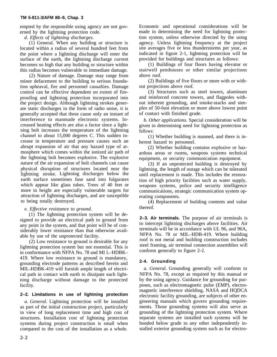empted by the responsible using agency are not governed by the lightning protection code.

*d. Effects of lightning discharges.*

(1) General. When any building or structure is located within a radius of several hundred feet from the point where a lightning discharge will enter the surface of the earth, the lightning discharge current becomes so high that any building or structure within this radius becomes vulnerable to immediate damage.

(2) Nature of damage. Damage may range from minor defacement to the building to serious foundation upheaval, fire and personnel casualties. Damage control can be effective dependent on extent of fireproofing and lightning protection incorporated into the project design. Although lightning strokes generate static discharges in the form of radio noise, it is generally accepted that these cause only an instant of interference to manmade electronic systems. Increased heating effects are also a factor since a lightning bolt increases the temperature of the lightning channel to about 15,000 degrees C. This sudden increase in temperature and pressure causes such an abrupt expansion of air that any hazard type of atmosphere which comes within the ionized air path of the lightning bolt becomes explosive. The explosive nature of the air expansion of bolt channels can cause physical disruption of structures located near the lightning stroke. Lightning discharges below the earth surface sometimes fuse sand into fulgurates which appear like glass tubes. Trees of 40 feet or more in height are especially vulnerable targets for attraction of lightning discharges, and are susceptible to being totally destroyed.

#### *e. Effective resistance to ground.*

(1) The lightning protection system will be designed to provide an electrical path to ground from any point in the system, and that point will be of considerably lower resistance than that otherwise available by use of the unprotected facility.

(2) Low resistance to ground is desirable for any lightning protection system but not essential. This is in conformance with NFPA No. 78 and MI L–HDBK– 419. Where low resistance to ground is mandatory, grounding electrode patterns as described herein and MIL-HDBK-419 will furnish ample length of electrical path in contact with earth to dissipate each lightning discharge without damage to the protected facility.

#### **2–2. Limitations in use of lightning protection**

*a. General.* Lightning protection will be installed as part of the initial construction project, particularly in view of long replacement time and high cost of structures. Installation cost of lightning protection systems during project construction is small when compared to the cost of the installation as a whole.

Economic and operational considerations will be made in determining the need for lightning protection system, unless otherwise directed by the using agency. Unless lightning frequency at the project site averages five or less thunderstorms per year, as indicated in figure 2-1, lightning protection will be provided for buildings and structures as follows:

(1) Buildings of four floors having elevator or stairwell penthouses or other similar projections above roof.

(2) Buildings of five floors or more with or without projections above roof.

(3) Structures such as steel towers, aluminum and reinforced concrete towers, and flagpoles without inherent grounding, and smoke-stacks and steeples of 50-foot elevation or more above lowest point of contact with finished grade.

*b. Other applications.* Special consideration will be given in determining need for lightning protection as follows:

(1) Whether building is manned, and there is inherent hazard to personnel.

(2) Whether building contains explosive or hazardous areas or rooms, weapons systems technical equipment, or security communication equipment.

(3) If an unprotected building is destroyed by lightning, the length of outage which can be tolerated until replacement is made. This includes the restoration of high priority facilities such as water supply, weapons systems, police and security intelligence communications, strategic communication system operating components.

(4) Replacement of building contents and value thereof.

**2–3. Air terminals.** The purpose of air terminals is to intercept lightning discharges above facilities. Air terminals will be in accordance with UL 96, and 96A, NFPA No. 78 or MIL–HDB-419. Where building roof is not metal and building construction includes steel framing, air terminal connection assemblies will conform generally to figure 2-2.

#### **2-4. Grounding**

*a. General.* Grounding generally will conform to NFPA No. 78, except as required by this manual or by the using agency. Guidance for grounding for purposes, such as electromagnetic pulse (EMP), electromagnetic interference shielding, NASA and HQDCA electronic facility grounding, are subjects of other engineering manuals which govern grounding requirements. Those grounding systems will also serve as grounding of the lightning protection system. Where separate systems are installed such systems will be bonded below grade to any other independently installed exterior grounding system such as for electro-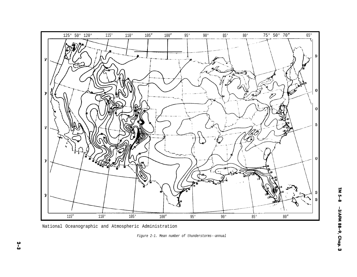

National Oceanographic and Atmospheric Administration

Figure 2-1. Mean number of thunderstorms--annual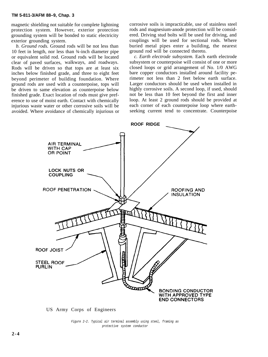#### **TM 5-811-3/AFM 88–9, Chap. 3**

magnetic shielding not suitable for complete lightning protection system. However, exterior protection grounding system will be bonded to static electricity exterior grounding system.

*b. Ground rods.* Ground rods will be not less than 10 feet in length, nor less than ¾-inch diameter pipe or equivalent solid rod. Ground rods will be located clear of paved surfaces, walkways, and roadways. Rods will be driven so that tops are at least six inches below finished grade, and three to eight feet beyond perimeter of building foundation. Where ground rods are used with a counterpoise, tops will be driven to same elevation as counterpoise below finished grade. Exact location of rods must give preference to use of moist earth. Contact with chemically injurious waste water or other corrosive soils wiIl be avoided. Where avoidance of chemically injurious or corrosive soils is impracticable, use of stainless steel rods and magnesium-anode protection will be considered. Driving stud bolts will be used for driving, and couplings will be used for sectional rods. Where buried metal pipes enter a building, the nearest ground rod will be connected thereto.

*c. Earth electrode subsystem.* Each earth electrode subsystem or counterpoise will consist of one or more closed loops or grid arrangement of No. 1/0 AWG bare copper conductors installed around facility perimeter not less than 2 feet below earth surface. Larger conductors should be used when installed in highly corrosive soils. A second loop, if used, should not be less than 10 feet beyond the first and inner loop. At least 2 ground rods should be provided at each corner of each counterpoise loop where earthseeking current tend to concentrate. Counterpoise



US Army Corps of Engineers

Figure 2–2. Typical air terminal assembly using steel, framing as protective system conductor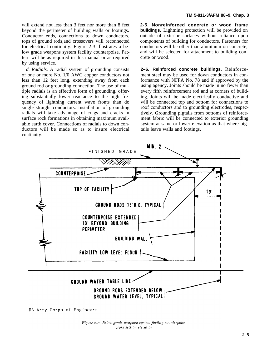will extend not less than 3 feet nor more than 8 feet beyond the perimeter of building walls or footings. Conductor ends, connections to down conductors, tops of ground rods, and crossovers will reconnected for electrical continuity. Figure 2-3 illustrates a below grade weapons system facility counterpoise. Pattern will be as required in this manual or as required by using service.

*d. Radials.* A radial system of grounding consists of one or more No. 1/0 AWG copper conductors not less than 12 feet long, extending away from each ground rod or grounding connection. The use of multiple radials is an effective form of grounding, offering substantially lower reactance to the high frequency of lightning current wave fronts than do single straight conductors. Installation of grounding radials will take advantage of crags and cracks in surface rock formations in obtaining maximum available earth cover. Connections of radials to down conductors will be made so as to insure electrical continuity.

**2-5. Nonreinforced concrete or wood frame buildings.** Lightning protection will be provided on outside of exterior surfaces without reliance upon components of building for conductors. Fasteners for conductors will be other than aluminum on concrete, and will be selected for attachment to building concrete or wood.

**2–6. Reinforced concrete buildings.** Reinforcement steel may be used for down conductors in conformance with NFPA No. 78 and if approved by the using agency. Joints should be made in no fewer than every fifth reinforcement rod and at corners of building. Joints will be made electrically conductive and will be connected top and bottom for connections to roof conductors and to grounding electrodes, respectively. Grounding pigtails from bottoms of reinforcement fabric will be connected to exterior grounding system at same or lower elevation as that where pigtails leave walls and footings.



US Army Corps of Engineers

Figure 2-3. Below grade weapons system facility counterpoise, cross section elevation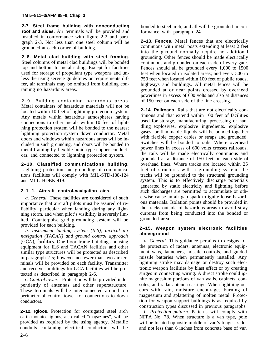**2-7. Steel frame building with nonconducting roof and sides.** Air terminals will be provided and installed in conformance with figure 2-2 and paragraph 2-3. Not less than one steel column will be grounded at each corner of building.

**2–8. Metal clad building with steel framing.** Steel columns of metal clad buildings will be bonded top and bottom to metal siding. Except for facilities used for storage of propellant type weapons and unless the using service guidelines or requirements differ, air terminals may be omitted from building containing no hazardous areas.

2–9. Building containing hazardous areas. Metal containers of hazardous materials will not be located within 10 feet of lightning protection system. Any metals within hazardous atmospheres having connections to other metals within 10 feet of lightning protection system will be bonded to the nearest lightning protection system down conductor. Metal doors and windows within hazardous areas will be included in such grounding, and doors will be bonded to metal framing by flexible braid-type copper conductors, and connected to lightning protection system.

**2–10. Classified communications building.** Lightning protection and grounding of communications facilities will comply with MIL-STD-188-124 and MI L–HDBK-419.

#### **2–1 1. Aircraft control-navigation aids.**

*a. General.* These facilities are considered of such importance that aircraft pilots must be assured of reliability, particular when landing during any lightning storm, and when pilot's visibility is severely limited. Counterpoise grid g-rounding system will be provided for each building.

*b. Instrument landing system (ILS), tactical air navigation (TACAN) and ground control approach (GCA), facilities.* One-floor frame buildings housing equipment for ILS and TACAN facilities and other similar type structures will be protected as described in paragraph 2-5; however no fewer than two air terminals will be provided on each facility. Transmitter and receiver buildings for GCA facilities will be protected as described in paragraph 2-6.

*c. Control towers.* Protection will be provided independently of antennas and other superstructure. These terminals will be interconnected around top perimeter of control tower for connections to down conductors.

**2–12. Igloos.** Protection for corrugated steel arch earth-mounted igloos, also called "magazines", will be provided as required by the using agency. Metallic conduits containing electrical conductors will be

bonded to steel arch, and all will be grounded in conformance with paragraph 24.

**2–13. Fences.** Metal fences that are electrically continuous with metal posts extending at least 2 feet into the g-round normally require no additional grounding. Other fences should be made electrically continuous and grounded on each side of every gate. Fences should all be grounded every 1,000 to 1500 feet when located in isolated areas; and every 500 to 750 feet when located within 100 feet of public roads, highways and buildings. All metal fences will be grounded at or near points crossed by overhead powerlines in excess of 600 volts and also at distances of 150 feet on each side of the line crossing.

**2–14. Railroads.** Rails that are not electrically continuous and that extend within 100 feet of facilities used for storage, manufacturing, processing or handling explosives, explosive ingredients. explosive gases, or flammable liquids will be bonded together with flexible copper cables or straps and grounded. Switches will be bonded to rails. Where overhead power lines in excess of 600 volts crosses railroads, the rails will be made electrically continuous and grounded at a distance of 150 feet on each side of overhead lines. Where tracks are located within 25 feet of structures with a grounding system, the tracks will be grounded to the structural grounding system. This is to effectively discharge potentials generated by static electricity and lightning before such discharges are permitted to accumulate or otherwise cause an air gap spark to ignite loose hazardous materials. Isolation points should be provided in the tracks outside of hazardous areas to avoid stray currents from being conducted into the bonded or grounded area.

#### **2–15. Weapon system electronic facilities aboveground**

*a. General.* This guidance pertains to designs for the protection of radars, antennas, electronic equipment vans, launchers, missile controls, and guided missile batteries when permanently installed. Any lightning stroke may damage or destroy such electronic weapon facilities by blast effect or by creating surges in connecting wiring. A direct stroke could ignite magnesium portions of van walls, cabinets, consoles, and radar antenna castings. When lightning occurs with rain, moisture encourages burning of magnesium and splattering of molten metal. Protection for weapon support buildings is as required by construction types discussed in previous paragraphs.

*b. Protection pattern.* Patterns will comply with NFPA No. 78. When structure is a van type, pole will be located opposite middle of van's longest side, and not less than 6 inches from concrete base of van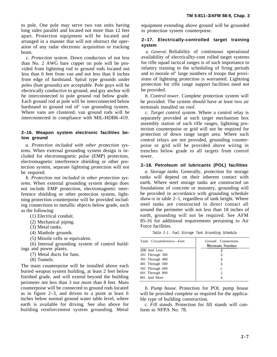to pole. One pole may serve two van units having long sides parallel and located not more than 12 feet apart. Protection equipment will be located and arranged in a manner that will not obstruct the operation of any radar electronic acquisition or tracking beam.

*c. Protection system.* Down conductors of not less than No. 2 AWG bare copper on pole will be provided from lightning rod to ground rods located not less than 6 feet from van and not less than 6 inches from edge of hardstand. Spiral type grounds under poles (butt grounds) are acceptable. Pole guys will be electrically conductive to ground, and guy anchor will be interconnected to pole ground rod below grade. Each ground rod at pole will be interconnected below hardstand to ground rod of' van grounding system. Where vans are clustered, van ground rods will be interconnected in compliance with MIL-HDBK-419.

#### **2–16. Weapon system electronic facilities below ground**

*a. Protection included with other protection systems.* When external grounding system design is included for electromagnetic pulse (EMP) protection, electromagnetic interference shielding or other protection system, separate lightning protection will not be required.

*b. Protection not included in other protection systems.* When external grounding system design does not include EMP protection, electromagnetic interference shielding or other protection system, lightning protection counterpoise will be provided including connections to metallic objects below grade, such as the following:

(1) Electrical conduit.

(2) Mechanical piping.

(3) Metal tanks.

(4) Manhole grounds.

(5) Missile cells or equivalent.

(6) Internal grounding system of control buildings and power plants.

(7) Metal ducts for fans.

(8) Tunnels.

The main counterpoise will be installed above each buried weapon system building, at least 2 feet below finished grade, and will extend beyond the building perimeter not less than 3 nor more than 8 feet. Main counterpoise will be connected to ground rods located as in figure 2–3, and driven to a point at least 6 inches below normal ground water table level, where earth is available for driving. See also above for building reinforcement system grounding. Metal equipment extending above ground will be grounded to protection system counterpoise.

#### **2–17. Electrically-controlled target training system**

*a. General.* Reliability of continuous operational availability of electricallty-cont rolled target systems for rifle squad tactical ranges is of such importance to infantry training in the scheduling of firing periods and to morale of' large numbers of troops that provisions of lightning protection is warranted. Lightning protection for rifle range support facilities need not be provided.

*b. Control tower.* Complete protection system will be provided. The system should have at least two air terminals installed on roof.

*c. Target control system.* Where a control relay is separately provided at each target mechanism box assembly station of such rifle ranges, lightning protection counterpoise or grid will not be required for protection of down range target area. Where such control relays are not provided, grounding counterpoise or grid will be provided above wiring in trenches below grade to all targets from control tower.

#### **2–18. Petroleum oil lubricants (POL) facilities**

*a. Storage tanks.* Generally, protection for storage tanks will depend on their inherent contact with earth. Where steel storage tanks are constructed on foundations of concrete or masonry, grounding will be provided in accordance with grounding schedule show-n in table 2–1, regardless of tank height. Where steel tanks are constructed in direct contact all around the perimeter with not less than 18 inches of earth, grounding will not be required. See AFM 85-16 for additional requirements pertaining to Air Force facilities.

Table 2-1. Fuel Storage Tank Grounding Schedule

| Tank Circumference—Feet | Ground Connections<br>Minimum Number |
|-------------------------|--------------------------------------|
| 200 And Less            |                                      |
| 201 Through 300         | 3                                    |
| 301 Through 400         |                                      |
| 401 Through 500         | 5                                    |
| 501 Through 600         | 6                                    |
| 601 Through 800         |                                      |
| 801 And More            | 8                                    |

*b. Pump house.* Protection for POL pump house will be provided complete as required for the applicable type of building construction.

*c. Fill stands.* Protection for fill stands will conform to NFPA No. 78.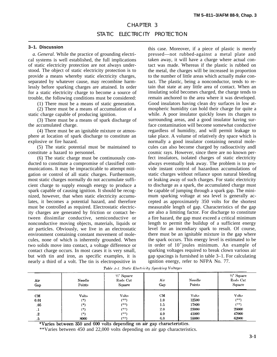## CHAPTER 3 STATIC ELECTRICITY PROTECTION

#### **3–1. Discussion**

*a. General.* While the practice of grounding electrical systems is well established, the full implications of static electricity protection are not always understood. The object of static electricity protection is to provide a means whereby static electricity charges, separated by whatever cause, may recombine harmlessly before sparking charges are attained. In order for a static electricity charge to become a source of trouble, the following conditions must be considered:

(1) There must be a means of static generation.

(2) There must be a means of accumulation of a static charge capable of producing ignition.

(3) There must be a means of spark discharge of the accumulated charge.

(4) There must be an ignitable mixture or atmosphere at location of spark discharge to constitute an explosive or fire hazard.

(5) The static potential must be maintained to constitute a hazard to personnel.

(6) The static charge must be continuously conducted to constitute a compromise of classified communications. It may be impracticable to attempt mitigation or control of all static charges. Furthermore, most static charges normally do not accumulate sufficient charge to supply enough energy to produce a spark capable of causing ignition. It should be recognized, however, that when static electricity accumulates, it becomes a potential hazard, and therefore must be controlled as required. Electrostatic electricity charges are generated by friction or contact between dissimilar conductive, semiconductive or nonconductive moving objects, materials, liquids or air particles. Obviously, we live in an electrostatic environment containing constant movement of molecules, none of which is inherently grounded. When two solids move into contact, a voltage difference or contact charge occurs. In most cases it is very small, but with tin and iron, as specific examples, it is nearly a third of a volt. The tin is electropositive in this case. Moreover, if a piece of plastic is merely pressed—not rubbed-against a metal plate and taken away, it will have a charge where actual contact was made. Whereas if the plastic is rubbed on the metal, the charges will be increased in proportion to the number of little areas which actually make contact. The plastic, being a nonconductor, tends to retain that state at any little area of contact. When an insulating solid becomes charged, the charge tends to remain anchored to the area where it was developed. Good insulators having clean dry surfaces in low atmospheric humidity can hold their charge for quite a while. A poor insulator quickly loses its charges to surrounding areas, and a good insulator having surface contamination will become somewhat conductive regardless of humidity, and will permit leakage to take place. A volume of relatively dry space which is normally a good insulator containing neutral molecules can also become charged by radioactivity andl cosmic rays. However, since there are no known perfect insulators, isolated charges of static electricity always eventually leak away. The problem is to provide instant control of hazardous accumulations of static charges without reliance upon natural bleeding or leaking away of such charges. For static electricity to discharge as a spark, the accumulated charge must be capable of jumping through a spark gap. The minimum sparking voltage at sea level is generally accepted as approximately 350 volts for the shortest measurable length of gap. Characteristics of the gap are also a limiting factor. For discharge to constitute a fire hazard, the gap must exceed a critical minimum length to permit the buildup of a sufficient energy level for an incendiary spark to result. Of course, there must be an ignitable mixture in the gap where the spark occurs. This energy level is estimated to be in order of  $10^{\circ}$  joules minimum. An example of sparking voltages required to break clown various air gap spacings is furnished in table 3–1. For calculating ignition energy, refer to NFPA No. 77.

| Air<br>Gap | Needle<br>Points | $\frac{1}{2}$ " Square<br>Rods Cut<br>Square | Air<br>Gap | Needle<br>Points | 1/2" Square<br>Rods Cut<br>Square |
|------------|------------------|----------------------------------------------|------------|------------------|-----------------------------------|
| CM         | <b>Volts</b>     | <b>Volts</b>                                 | CM         | <b>Volts</b>     | <b>Volts</b>                      |
| 0.01       | $^{(*)}$         | (**)                                         | 1.0        | 12500            | $(**)$                            |
| .05        | $(*)$            | $($ **)                                      | 1.5        | 17800            | (**)                              |
| . .        | $(*)$            | (##)                                         | 2.0        | 23000            | 26000                             |
| $\cdot^2$  | $(*)$            | 子宮中下                                         | 4.0        | 41000            | 47000                             |
| G.,        | 8000             | (本来)                                         | 6.0        | 55000            | 62000                             |

Table 3-1. Static Electricity Sparking Voltages

\*Varies between 350 and 600 volts depending on air gap characteristics.

\*\*Varies between 450 and 22,000 volts depending on air gap characteristics.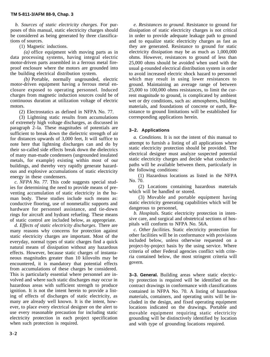*b. Sources of static electricity charges.* For purposes of this manual, static electricity charges should be considered as being generated by three classifications of sources.

(1) Magnetic inductions.

*(a)* office equipment with moving parts as in data processing systems, having integral electric motor-driven parts assembled in a ferrous metal fireproof enclosure where the motors are grounded into the building electrical distribution system.

*(b)* Portable, normally ungrounded, electric motor-driven equipment having a ferrous metal enclosure exposed to operating personnel. Induced charges from magnetic induction sources could be of continuous duration at utilization voltage of electric motors.

(2) Electrostatics as defined in NFPA No. 77.

(3) Lightning static results from accumulations of extremely high voltage discharges, as discussed in paragraph 2–la. These magnitudes of potentials are sufficient to break down the dielectric strength of air for distances upwards of 3,000 feet, It will suffice to note here that lightning discharges can and do by their so-called side effects break down the dielectrics of many man-made condensers (ungrounded insulated metals, for example) existing within most of our buildings, and thereby very rapidly generate hazardous and explosive accumulations of static electricity energy in these condensers.

*c. NFPA No. 77.* This code suggests special studies for determining the need to provide means of preventing accumulation of static electricity in the human body. These studies include such means as: conductive flooring, use of nonmetallic supports and hardware for personnel assistance, and tie-down rings for aircraft and hydrant refueling. These means of static control are included below, as appropriate.

*d. Effects of static electricity discharges.* There are many reasons why concerns for protection against static electricity charges are important. Most of the everyday, normal types of static charges find a quick natural means of dissipation without any hazardous effects. However, because static charges of instantaneous magnitudes greater than 10 kilovolts may be encountered, it is mandatory that potential effects from accumulations of these charges be considered. This is particularly essential where personnel are involved and where such static discharges may occur in hazardous areas with sufficient strength to produce ignition. It is not the intent herein to provide a listing of effects of discharges of static electricity, as many are already well known. It is the intent, however, to place every electrical designer on the alert to use every reasonable precaution for including static electricity protection in each project specification when such protection is required.

*e. Resistances to ground.* Resistance to ground for dissipation of static electricity charges is not critical in order to provide adequate leakage path to ground and to equalize static electricity charges as fast as they are generated. Resistance to ground for static electricity dissipation may be as much as 1,000,000 ohms. However, resistances to ground of less than 25,000 ohms should be avoided when used with the usual g-rounded electrical distribution system in order to avoid increased electric shock hazard to personnel which may result in using lower resistances to ground. Maintaining an average range of between 25,000 to 100,000 ohms resistances, to limit the current magnitude to ground, is complicated by ambient wet or dry conditions, such as: atmospheres, building materials, and foundations of concrete or earth, Resistance to ground limitations will be established for corresponding applications herein.

#### **3–2. Applications**

*a. Conditions.* It is not the intent of this manual to attempt to furnish a listing of all applications where static electricity protection should be provided. The electrical designer must analyze suspected potential static electricity charges and decide what conductive paths will be available between them, particularly in the following conditions:

(1) Hazardous locations as listed in the NFPA No. 70.

(2) Locations containing hazardous materials which will be handled or stored.

(3) Movable and portable equipment having static electricity generating capabilities which will be dangerous to personnel,

*b. Hospitals.* Static electricity protection in intensive care, and surgical and obstetrical sections of hospitals will conform to NFPA No. 56A.

*c. Other facilities.* Static electricity protection for other facilities will be in conformance with provisions included below, unless otherwise requested on a project-by-project basis by the using service. Where criteria of other Federal agencies conflict with criteria contained below, the most stringent criteria will govern.

**3–3. General.** Building areas where static electricity protection is required will be identified on the contract drawings in conformance with classifications contained in NFPA No. 70. A listing of hazardous materials, containers, and operating units will be included in the design, and fixed operating equipment locations indicated on the drawings. Portable and movable equipment requiring static electricity grounding will be distinctively identified by location and with type of grounding locations required.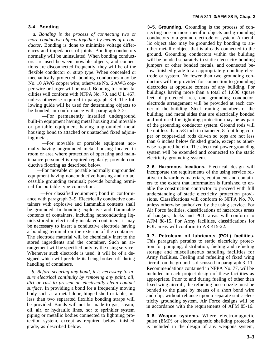#### **3-4. Bonding**

*a. Bonding is the process of connecting two or more conductive objects together by means of a conductor.* Bonding is done to minimize voltage differences and impedances of joints. Bonding conductors normally will be uninsulated. When bonding conductors are used between movable objects, and connections are disconnected frequently, they will be of the flexible conductor or strap type. When concealed or mechanically protected, bonding conductors may be No. 10 AWG copper wire; otherwise No. 6 AWG copper wire or larger will be used. Bonding for other facilities will conform with NFPA No. 70, and U L 467, unless otherwise required in paragraph 3-9. The following guide will be used for determining objects to be bonded, in conformance with paragraph 3-2:

—For permanently installed underground built-in equipment having metal housing and movable or portable equipment having ungrounded metal housing; bond to attached or unattached fixed adjoining metal.

—For movable or portable equipment normally having ungrounded metal housing located in room or area where protection of operating and maintenance personnel is required regularly; provide conductive flooring as described below.

—For movable or portable normally ungrounded equipment having nonconductive housing and no accessible grounding terminal; provide bonding terminal for portable type connection.

—For classified equipment; bond in conformance with paragraph 3–9. Electrically conductive containers with explosive and flammable contents shall be grounded. In bonding explosive and flammable contents of containers, including nonconducting liquids stored in electrically insulated containers, it may be necessary to insert a conductive electrode having a bonding terminal on the exterior of the container. The electrode material will be chemically inert to the stored ingredients and the container. Such an arrangement will be specified only by the using service. Whenever such electrode is used, it will be of a designed which will preclude its being broken off during handling of containers.

*b. Before securing any bond, it is necessary to insure electrical continuity by removing any paint, oil, dirt or rust to present an electrically clean contact surface.* In providing a bond for a frequently moving body such as a metal door, hinged shelf or table, not less than two separated flexible bonding straps will be provided. Bonds will not be made to gas, steam, oil, air, or hydraulic lines, nor to sprinkler system piping or metallic bodies connected to lightning protection system, except as required below finished grade, as described below.

**3–5. Grounding.** Grounding is the process of connecting one or more metallic objects and g-rounding conductors to a ground electrode or system. A metallic object also may be grounded by bonding to another metallic object that is already connected to the ground. Grounding conductors within the building will be bonded separately to static electricity bonding jumpers or other bonded metals, and connected below finished grade to an appropriate grounding electrode or system. No fewer than two grounding conductors will be provided for connection to grounding electrodes at opposite corners of any building. For buildings having more than a total of 1,600 square feet of protected area, one grounding conductorelectrode arrangement will be provided at each corner of the building. Steel framing members of the building and metal sides that are electrically bonded and not used for lightning protection may be as part of the grounding conductor system. Ground rods will be not less than 5/8 inch in diameter, 8-foot long copper or copper-clad rods driven so tops are not less than 6 inches below finished grade, except as otherwise required herein. The electrical power grounding system will be extended and connected to the static electricity grounding system.

**3–6. Hazardous locations.** Electrical design will incorporate the requirements of the using service relative to hazardous materials, equipment and containers to the extent that information is furnished to enable the construction contractor to proceed with full understanding of static electricity protection provisions. Classifications will conform to NFPA No. 70, unless otherwise authorized by the using service. For Air Force facilities, classifications of hazardous areas of hangars, docks and POL areas will conform to AFM 88-15. For Army facilities, classifications for POL areas will conform to AR 415-22.

**3–7. Petroleum oil lubricants (POL) facilities.** This paragraph pertains to static electricity protection for pumping, distribution, fueling and refueling storage and miscellaneous handling facilities for Army facilities. Fueling and refueling of fixed wing aircraft on the ground is discussed in paragraph 3–11. Recommendations contained in NFPA No. 77, will be included in each project design of these facilities as appropriate. Prior to and during fueling of other than fixed wing aircraft, the refueling hose nozzle must be bonded to the plane by means of a short bond wire and clip, without reliance upon a separate static electricity grounding system. Air Force designs will be in accordance with the requirements of AFM 85-16.

**3–8. Weapon systems.** Where electromagnetic pulse (EMP) or electromagnetic sheilding protection is included in the design of any weapons system,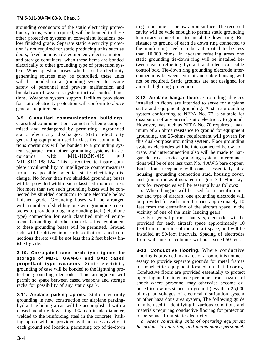#### **TM 5-811-3/AFM 88-9, Chap. 3**

grounding conductors of the static electricity protection systems, when required, will be bonded to these other protective systems at convenient locations below finished grade. Separate static electricity protection is not required for static producing units such as doors, fixed or movable equipment, electric motors, and storage containers, when these items are bonded electrically to other grounding type of protection system. When question arises whether static electricity generating sources may be controlled, these units will be bonded to a grounding system to assure safety of personnel and prevent malfunction and breakdown of weapons system tactical control functions. Weapons system support facilities provisions for static electricity protection will conform to above general requirements.

**3-9. Classified communications buildings.** Classified communications cannot risk being compromised and endangered by permitting ungrounded static electricity discharges. Static electricity generating equipment used in classified communications operations will be bonded to a grounding system separate from other grounding systems in accordance with MIL-HDBK-419 and MIL-STD-188-124. This is required to insure complete invulnerability to intelligence countermeasures from any possible potential static electricity discharge, No fewer than two shielded grounding buses will be provided within each classified room or area. Not more than two such grounding buses will be connected by shielded conductor to one electrode below finished grade, Grounding buses will be arranged with a number of shielding one-wire grounding receptacles to provide a plug-in grounding jack (telephone type) connection for each classified unit of equipment, Grounding of other than classified equipment to these grounding buses will be permitted. Ground rods will be driven into earth so that tops and connections thereto will be not less than 2 feet below finished grade.

**3-10. Corrugated steel arch type igloos for storage of MB-1, GAM-87 and GAR cased propellant type weapons.** Static electricity grounding of case will be bonded to the lightning protection grounding electrodes. This arrangment will permit no space between cased weapons and storage racks for possibility of any static spark.

**3-11. Airplane parking aprons.** Static electricity grounding in new construction for airplane parkinghydrant refueling areas will be accomplished with a closed metal tie-down ring, 1% inch inside diameter, welded to the reinforcing steel in the concrete, Parking apron will be provided with a recess cavity at each ground rod location, permitting top of tie-down

ring to become set below apron surface. The recessed cavity will be wide enough to permit static grounding temporary connections to metal tie-down ring. Resistance to ground of each tie down ring connected to the reinforcing steel can be anticipated to be less than 10,000 ohms. In hydrant refueling areas one static grounding tie-down ring will be installed between each refueling hydrant and electrical cable control box. Tie-down ring grounding electrode interconnections between hydrant and cable housing will not be required. Static grounds are not designed for aircraft lightning protection.

**3-12. Airplane hangar floors.** Grounding devices installed in floors are intended to serve for airplane static and equipment grounding. A static grounding system conforming to NFPA No. 77 is suitable for dissipation of any aircraft static electricity to ground. However, inasmuch as NFPA No. 70 requires a maximum of 25 ohms resistance to ground for equipment grounding, the 25-ohms requirement will govern for this dual-purpose grounding system. Floor grounding systems electrodes will be interconnected below concrete, and interconnection also will be made to hangar electrical service grounding system. Interconnections will be of not less than No. 4 AWG bare copper. Each floor receptacle will consist essentially of a housing, grounding connection stud, housing cover, and ground rod as illustrated in figure 3-1. Floor layouts for receptacles will be essentially as follows:

*a.* Where hangars will be used for a specific number and type of aircraft, one grounding electrode will be provided for each aircraft space approximately 10 feet from the centerline of the aircraft space in the vicinity of one of the main landing gears.

*b.* For general purpose hangars, electrodes will be provided for each aircraft space approximately 10 feet from centerline of the aircraft space, and will be installed at 50-foot intervals. Spacing of electrodes from wall lines or columns will not exceed 50 feet.

**3-13. Conductive flooring.** Where conductive flooring is provided in an area of a room, it is not necessary to provide separate grounds for metal frames of nonelectric equipment located on that flooring. Conductive floors are provided essentially to protect operating and maintenance personnel from hazards of shock where personnel may otherwise become exposed to low resistances to ground (less than 25,000 ohms), at voltages of electrical distribution system, or other hazardous area system, The following guide may be used in identifying hazardous conditions and materials requiring conductive flooring for protection of personnel from static electricity:

*a. Areas containing units of operating equipment hazardous to operating and maintenance personnel.*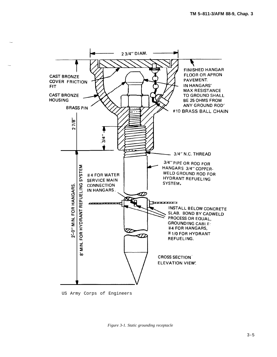

*Figure 3-1. Static grounding receptacle*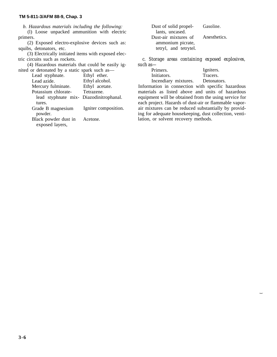#### **TM 5-811-3/AFM 88-9, Chap. 3**

*b. Hazardous materials including the following:*

(l) Loose unpacked ammunition with electric primers.

(2) Exposed electro-explosive devices such as: squibs, detonators, etc.

(3) Electrically initiated items with exposed electric circuits such as rockets.

(4) Hazardous materials that could be easily ignited or detonated by a static spark such as—

| Ethyl ether.                            |
|-----------------------------------------|
| Ethyl alcohol.                          |
| Ethyl acetate.                          |
| Tetrazene.                              |
| lead styphnate mix- Diazodinitrophanal. |
|                                         |
| Igniter composition.                    |
|                                         |
| Acetone.                                |
|                                         |
|                                         |

| Dust of solid propel- | Gasoline.    |
|-----------------------|--------------|
| lants, uncased.       |              |
| Dust-air mixtures of  | Anesthetics. |
| ammonium picrate,     |              |
| tetryl, and tetrytel. |              |

*c. Storage areas containing exposed explosives, such as—*

| Primers.             | Igniters.   |
|----------------------|-------------|
| Initiators.          | Tracers.    |
| Incendiary mixtures. | Detonators. |

Information in connection with specific hazardous materials as listed above and units of hazardous equipment will be obtained from the using service for each project. Hazards of dust-air or flammable vaporair mixtures can be reduced substantially by providing for adequate housekeeping, dust collection, ventilation, or solvent recovery methods.

—.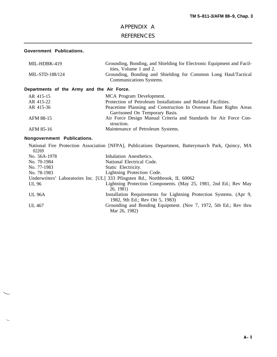## APPENDIX A REFERENCES

#### **Government Publications.**

| MIL-HDBK-419                               | Grounding, Bonding, and Shielding for Electronic Equipment and Facil-<br>ities, Volume 1 and 2.     |
|--------------------------------------------|-----------------------------------------------------------------------------------------------------|
| MIL-STD-188/124                            | Grounding, Bonding and Shielding for Common Long Haul/Tactical<br>Communications Systems.           |
| Departments of the Army and the Air Force. |                                                                                                     |
| AR 415-15                                  | MCA Program Development.                                                                            |
| AR 415-22                                  | Protection of Petroleum Installations and Related Facilities.                                       |
| AR 415-36                                  | Peacetime Planning and Construction In Overseas Base Rights Areas<br>Garrisoned On Temporary Basis. |
| AFM 88-15                                  | Air Force Design Manual Criteria and Standards for Air Force Con-<br>struction.                     |

AFM 85-16 Maintenance of Petroleum Systems.

#### **Nongovernment Publications.**

 $\overline{\phantom{0}}$ 

-.—

|               | National Fire Protection Association [NFPA], Publications Department, Batterymarch Park, Quincy, MA    |
|---------------|--------------------------------------------------------------------------------------------------------|
| 02269         |                                                                                                        |
| No. 56A-1978  | Inhalation Anesthetics.                                                                                |
| No. 70-1984   | National Electrical Code.                                                                              |
| No. 77-1983   | Static Electricity.                                                                                    |
| No. 78-1983   | Lightning Protection Code.                                                                             |
|               | Underwriters' Laboratories Inc. [UL] 333 Pfingsten Rd., Northbrook, IL 60062                           |
| UL 96         | Lightning Protection Components. (May 25, 1981, 2nd Ed.; Rev May<br>26. 1981)                          |
| <b>UL 96A</b> | Installation Requirements for Lightning Protection Systems. (Apr 9,<br>1982, 9th Ed.; Rev Ott 5, 1983) |
| UL 467        | Grounding and Bonding Equipment. (Nov 7, 1972, 5th Ed.; Rev thru<br>Mar 26, 1982)                      |